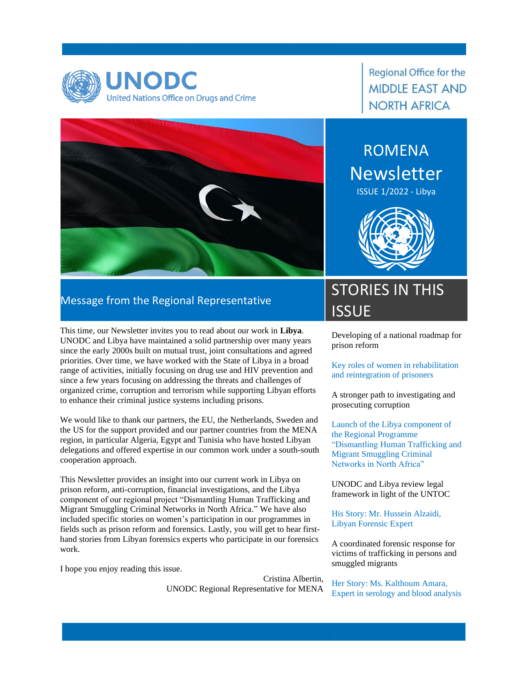

#### **Regional Office for the MIDDLE EAST AND NORTH AFRICA**

ROMENA **Newsletter** 

ISSUE 1/2022 - Libya



#### Message from the Regional Representative

This time, our Newsletter invites you to read about our work in **Libya**. UNODC and Libya have maintained a solid partnership over many years since the early 2000s built on mutual trust, joint consultations and agreed priorities. Over time, we have worked with the State of Libya in a broad range of activities, initially focusing on drug use and HIV prevention and since a few years focusing on addressing the threats and challenges of organized crime, corruption and terrorism while supporting Libyan efforts to enhance their criminal justice systems including prisons.

We would like to thank our partners, the EU, the Netherlands, Sweden and the US for the support provided and our partner countries from the MENA region, in particular Algeria, Egypt and Tunisia who have hosted Libyan delegations and offered expertise in our common work under a south-south cooperation approach.

This Newsletter provides an insight into our current work in Libya on prison reform, anti-corruption, financial investigations, and the Libya component of our regional project "Dismantling Human Trafficking and Migrant Smuggling Criminal Networks in North Africa." We have also included specific stories on women's participation in our programmes in fields such as prison reform and forensics. Lastly, you will get to hear firsthand stories from Libyan forensics experts who participate in our forensics work.

I hope you enjoy reading this issue.

Cristina Albertin, UNODC Regional Representative for MENA

## STORIES IN THIS **ISSUE**

Developing of a national roadmap for prison reform

Key roles of women in rehabilitation and reintegration of prisoners

A stronger path to investigating and prosecuting corruption

Launch of the Libya component of the Regional Programme "Dismantling Human Trafficking and Migrant Smuggling Criminal Networks in North Africa"

UNODC and Libya review legal framework in light of the UNTOC

His Story: Mr. Hussein Alzaidi, Libyan Forensic Expert

A coordinated forensic response for victims of trafficking in persons and smuggled migrants

Her Story: Ms. Kalthoum Amara, Expert in serology and blood analysis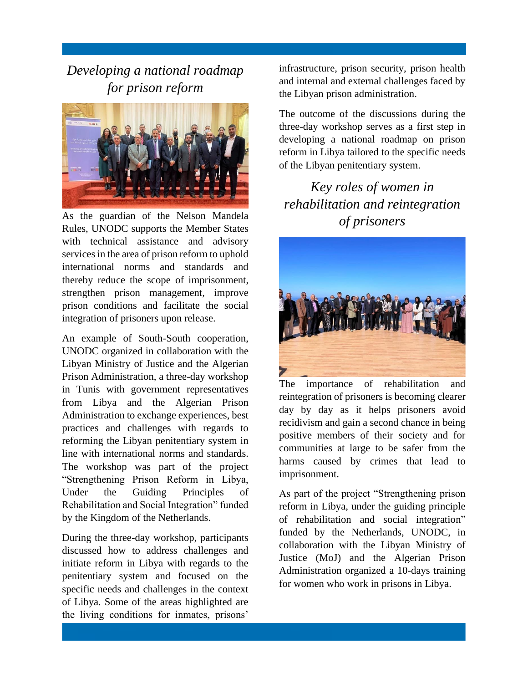*Developing a national roadmap for prison reform*



As the guardian of the Nelson Mandela Rules, UNODC supports the Member States with technical assistance and advisory services in the area of prison reform to uphold international norms and standards and thereby reduce the scope of imprisonment, strengthen prison management, improve prison conditions and facilitate the social integration of prisoners upon release.

An example of South-South cooperation, UNODC organized in collaboration with the Libyan Ministry of Justice and the Algerian Prison Administration, a three-day workshop in Tunis with government representatives from Libya and the Algerian Prison Administration to exchange experiences, best practices and challenges with regards to reforming the Libyan penitentiary system in line with international norms and standards. The workshop was part of the project "Strengthening Prison Reform in Libya, Under the Guiding Principles of Rehabilitation and Social Integration" funded by the Kingdom of the Netherlands.

During the three-day workshop, participants discussed how to address challenges and initiate reform in Libya with regards to the penitentiary system and focused on the specific needs and challenges in the context of Libya. Some of the areas highlighted are the living conditions for inmates, prisons'

infrastructure, prison security, prison health and internal and external challenges faced by the Libyan prison administration.

The outcome of the discussions during the three-day workshop serves as a first step in developing a national roadmap on prison reform in Libya tailored to the specific needs of the Libyan penitentiary system.

*Key roles of women in rehabilitation and reintegration of prisoners*



The importance of rehabilitation and reintegration of prisoners is becoming clearer day by day as it helps prisoners avoid recidivism and gain a second chance in being positive members of their society and for communities at large to be safer from the harms caused by crimes that lead to imprisonment.

As part of the project "Strengthening prison reform in Libya, under the guiding principle of rehabilitation and social integration" funded by the Netherlands, UNODC, in collaboration with the Libyan Ministry of Justice (MoJ) and the Algerian Prison Administration organized a 10-days training for women who work in prisons in Libya.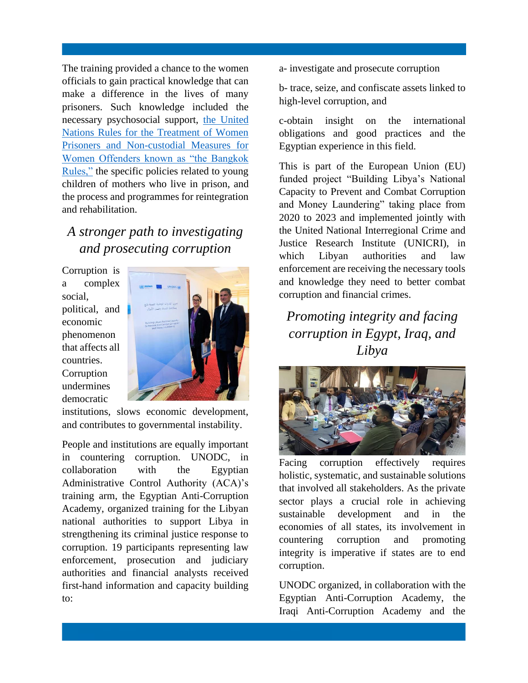The training provided a chance to the women officials to gain practical knowledge that can make a difference in the lives of many prisoners. Such knowledge included the necessary psychosocial support, [the United](https://www.unodc.org/documents/justice-and-prison-reform/Bangkok_Rules_ENG_22032015.pdf)  [Nations Rules for the Treatment of Women](https://www.unodc.org/documents/justice-and-prison-reform/Bangkok_Rules_ENG_22032015.pdf)  [Prisoners and Non-custodial Measures for](https://www.unodc.org/documents/justice-and-prison-reform/Bangkok_Rules_ENG_22032015.pdf)  [Women Offenders known as "the Bangkok](https://www.unodc.org/documents/justice-and-prison-reform/Bangkok_Rules_ENG_22032015.pdf)  [Rules,"](https://www.unodc.org/documents/justice-and-prison-reform/Bangkok_Rules_ENG_22032015.pdf) the specific policies related to young children of mothers who live in prison, and the process and programmes for reintegration and rehabilitation.

#### *A stronger path to investigating and prosecuting corruption*

Corruption is a complex social, political, and economic phenomenon that affects all countries. **Corruption** undermines democratic



institutions, slows economic development, and contributes to governmental instability.

People and institutions are equally important in countering corruption. UNODC, in collaboration with the Egyptian Administrative Control Authority (ACA)'s training arm, the Egyptian Anti-Corruption Academy, organized training for the Libyan national authorities to support Libya in strengthening its criminal justice response to corruption. 19 participants representing law enforcement, prosecution and judiciary authorities and financial analysts received first-hand information and capacity building to:

a- investigate and prosecute corruption

b- trace, seize, and confiscate assets linked to high-level corruption, and

c-obtain insight on the international obligations and good practices and the Egyptian experience in this field.

This is part of the European Union (EU) funded project "Building Libya's National Capacity to Prevent and Combat Corruption and Money Laundering" taking place from 2020 to 2023 and implemented jointly with the United National Interregional Crime and Justice Research Institute (UNICRI), in which Libyan authorities and law enforcement are receiving the necessary tools and knowledge they need to better combat corruption and financial crimes.

*Promoting integrity and facing corruption in Egypt, Iraq, and Libya* 



Facing corruption effectively requires holistic, systematic, and sustainable solutions that involved all stakeholders. As the private sector plays a crucial role in achieving sustainable development and in the economies of all states, its involvement in countering corruption and promoting integrity is imperative if states are to end corruption.

UNODC organized, in collaboration with the Egyptian Anti-Corruption Academy, the Iraqi Anti-Corruption Academy and the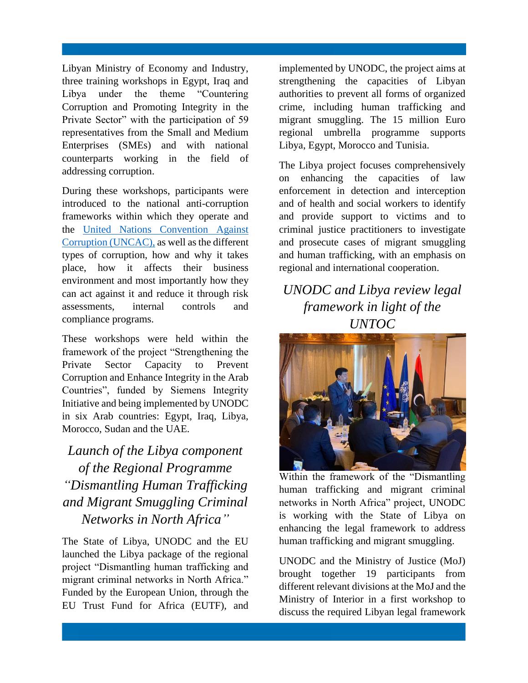Libyan Ministry of Economy and Industry, three training workshops in Egypt, Iraq and Libya under the theme "Countering Corruption and Promoting Integrity in the Private Sector" with the participation of 59 representatives from the Small and Medium Enterprises (SMEs) and with national counterparts working in the field of addressing corruption.

During these workshops, participants were introduced to the national anti-corruption frameworks within which they operate and the [United Nations Convention Against](https://www.unodc.org/unodc/en/corruption/uncac.html)  [Corruption \(UNCAC\),](https://www.unodc.org/unodc/en/corruption/uncac.html) as well as the different types of corruption, how and why it takes place, how it affects their business environment and most importantly how they can act against it and reduce it through risk assessments, internal controls and compliance programs.

These workshops were held within the framework of the project "Strengthening the Private Sector Capacity to Prevent Corruption and Enhance Integrity in the Arab Countries", funded by Siemens Integrity Initiative and being implemented by UNODC in six Arab countries: Egypt, Iraq, Libya, Morocco, Sudan and the UAE.

#### *Launch of the Libya component of the Regional Programme "Dismantling Human Trafficking and Migrant Smuggling Criminal Networks in North Africa"*

The State of Libya, UNODC and the EU launched the Libya package of the regional project "Dismantling human trafficking and migrant criminal networks in North Africa." Funded by the European Union, through the EU Trust Fund for Africa (EUTF), and

implemented by UNODC, the project aims at strengthening the capacities of Libyan authorities to prevent all forms of organized crime, including human trafficking and migrant smuggling. The 15 million Euro regional umbrella programme supports Libya, Egypt, Morocco and Tunisia.

The Libya project focuses comprehensively on enhancing the capacities of law enforcement in detection and interception and of health and social workers to identify and provide support to victims and to criminal justice practitioners to investigate and prosecute cases of migrant smuggling and human trafficking, with an emphasis on regional and international cooperation.

#### *UNODC and Libya review legal framework in light of the UNTOC*



Within the framework of the "Dismantling human trafficking and migrant criminal networks in North Africa" project, UNODC is working with the State of Libya on enhancing the legal framework to address human trafficking and migrant smuggling.

UNODC and the Ministry of Justice (MoJ) brought together 19 participants from different relevant divisions at the MoJ and the Ministry of Interior in a first workshop to discuss the required Libyan legal framework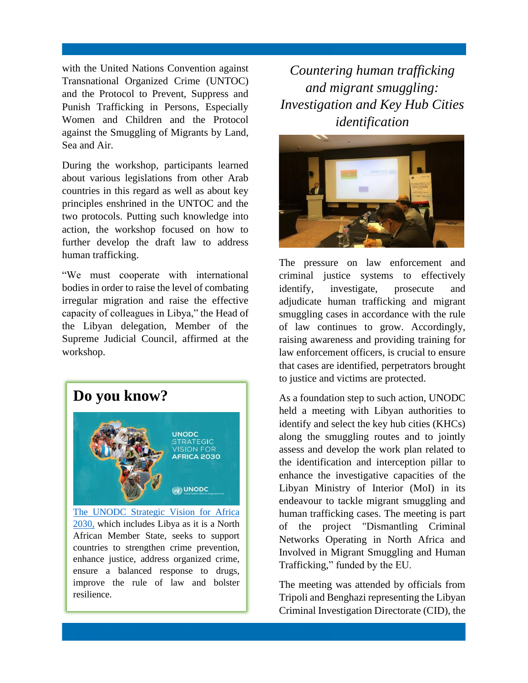with the United Nations Convention against Transnational Organized Crime (UNTOC) and the Protocol to Prevent, Suppress and Punish Trafficking in Persons, Especially Women and Children and the Protocol against the Smuggling of Migrants by Land, Sea and Air.

During the workshop, participants learned about various legislations from other Arab countries in this regard as well as about key principles enshrined in the UNTOC and the two protocols. Putting such knowledge into action, the workshop focused on how to further develop the draft law to address human trafficking.

"We must cooperate with international bodies in order to raise the level of combating irregular migration and raise the effective capacity of colleagues in Libya," the Head of the Libyan delegation, Member of the Supreme Judicial Council, affirmed at the workshop.



[2030,](https://www.unodc.org/unodc/en/strategy/africa-vision.html) which includes Libya as it is a North African Member State, seeks to support countries to strengthen crime prevention, enhance justice, address organized crime, ensure a balanced response to drugs, improve the rule of law and bolster resilience.

*Countering human trafficking and migrant smuggling: Investigation and Key Hub Cities identification*



The pressure on law enforcement and criminal justice systems to effectively identify, investigate, prosecute and adjudicate human trafficking and migrant smuggling cases in accordance with the rule of law continues to grow. Accordingly, raising awareness and providing training for law enforcement officers, is crucial to ensure that cases are identified, perpetrators brought to justice and victims are protected.

As a foundation step to such action, UNODC held a meeting with Libyan authorities to identify and select the key hub cities (KHCs) along the smuggling routes and to jointly assess and develop the work plan related to the identification and interception pillar to enhance the investigative capacities of the Libyan Ministry of Interior (MoI) in its endeavour to tackle migrant smuggling and human trafficking cases. The meeting is part of the project "Dismantling Criminal Networks Operating in North Africa and Involved in Migrant Smuggling and Human Trafficking," funded by the EU.

The meeting was attended by officials from Tripoli and Benghazi representing the Libyan Criminal Investigation Directorate (CID), the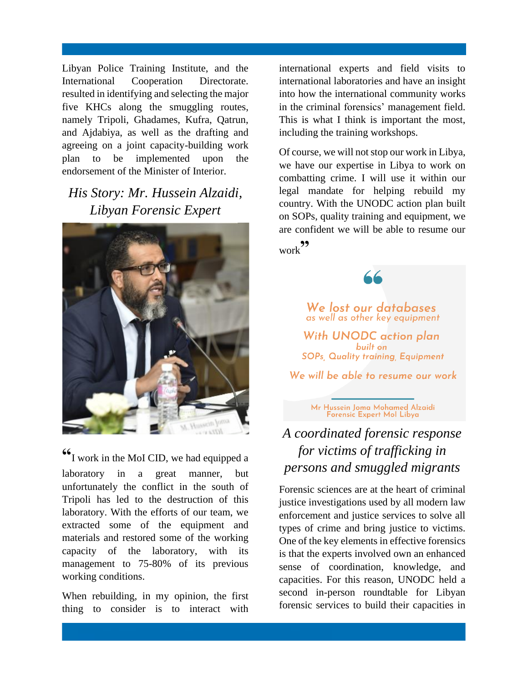Libyan Police Training Institute, and the International Cooperation Directorate. resulted in identifying and selecting the major five KHCs along the smuggling routes, namely Tripoli, Ghadames, Kufra, Qatrun, and Ajdabiya, as well as the drafting and agreeing on a joint capacity-building work plan to be implemented upon the endorsement of the Minister of Interior.

#### *His Story: Mr. Hussein Alzaidi, Libyan Forensic Expert*



**"**I work in the MoI CID, we had equipped a laboratory in a great manner, but unfortunately the conflict in the south of Tripoli has led to the destruction of this laboratory. With the efforts of our team, we extracted some of the equipment and materials and restored some of the working capacity of the laboratory, with its management to 75-80% of its previous working conditions.

When rebuilding, in my opinion, the first thing to consider is to interact with

international experts and field visits to international laboratories and have an insight into how the international community works in the criminal forensics' management field. This is what I think is important the most, including the training workshops.

Of course, we will not stop our work in Libya, we have our expertise in Libya to work on combatting crime. I will use it within our legal mandate for helping rebuild my country. With the UNODC action plan built on SOPs, quality training and equipment, we are confident we will be able to resume our

work**"** 



 $66$ 

Mr Hussein Joma Mohamed Alzaidi<br>Forensic Expert Mol Libya

### *A coordinated forensic response for victims of trafficking in persons and smuggled migrants*

Forensic sciences are at the heart of criminal justice investigations used by all modern law enforcement and justice services to solve all types of crime and bring justice to victims. One of the key elements in effective forensics is that the experts involved own an enhanced sense of coordination, knowledge, and capacities. For this reason, UNODC held a second in-person roundtable for Libyan forensic services to build their capacities in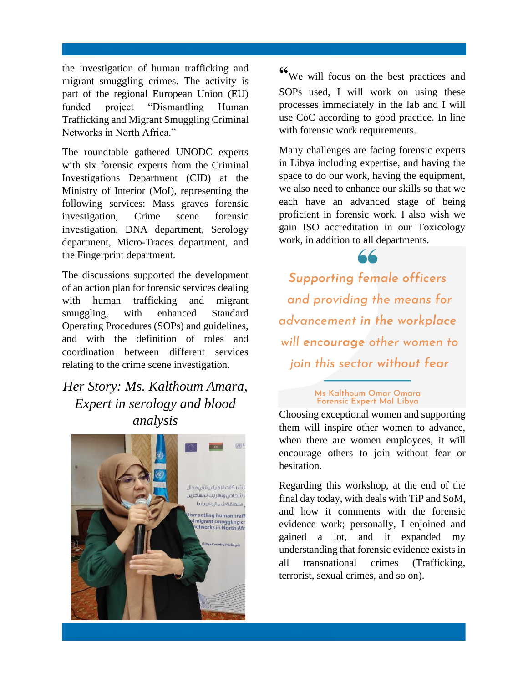the investigation of human trafficking and migrant smuggling crimes. The activity is part of the regional European Union (EU) funded project "Dismantling Human Trafficking and Migrant Smuggling Criminal Networks in North Africa."

The roundtable gathered UNODC experts with six forensic experts from the Criminal Investigations Department (CID) at the Ministry of Interior (MoI), representing the following services: Mass graves forensic investigation, Crime scene forensic investigation, DNA department, Serology department, Micro-Traces department, and the Fingerprint department.

The discussions supported the development of an action plan for forensic services dealing with human trafficking and migrant smuggling, with enhanced Standard Operating Procedures (SOPs) and guidelines, and with the definition of roles and coordination between different services relating to the crime scene investigation.

#### *Her Story: Ms. Kalthoum Amara, Expert in serology and blood analysis*



**"**We will focus on the best practices and SOPs used, I will work on using these processes immediately in the lab and I will use CoC according to good practice. In line with forensic work requirements.

Many challenges are facing forensic experts in Libya including expertise, and having the space to do our work, having the equipment, we also need to enhance our skills so that we each have an advanced stage of being proficient in forensic work. I also wish we gain ISO accreditation in our Toxicology work, in addition to all departments.

**Supporting female officers** and providing the means for advancement in the workplace will encourage other women to join this sector without fear

# Ms Kalthoum Omar Omara<br>Forensic Expert Mol Libya

Choosing exceptional women and supporting them will inspire other women to advance, when there are women employees, it will encourage others to join without fear or hesitation.

Regarding this workshop, at the end of the final day today, with deals with TiP and SoM, and how it comments with the forensic evidence work; personally, I enjoined and gained a lot, and it expanded my understanding that forensic evidence exists in all transnational crimes (Trafficking, terrorist, sexual crimes, and so on).